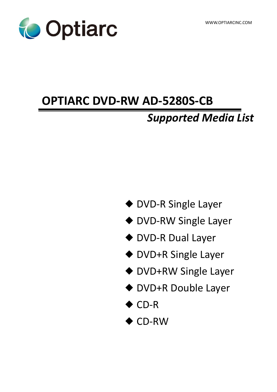

# **OPTIARC DVD-RW AD-5280S-CB**

# *Supported Media List*

- ◆ DVD-R Single Layer
- ◆ DVD-RW Single Layer
- ◆ DVD-R Dual Layer
- ◆ DVD+R Single Layer
- ◆ DVD+RW Single Layer
- ◆ DVD+R Double Layer
- ◆ CD-R
- ◆ CD-RW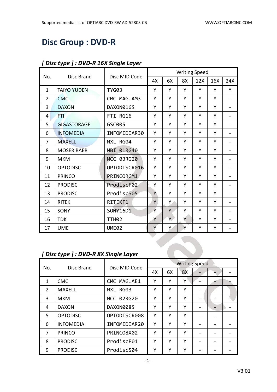## **Disc Group : DVD-R**

|                    |                   | <b>Writing Speed</b>                                  |    |    |     |     |                              |
|--------------------|-------------------|-------------------------------------------------------|----|----|-----|-----|------------------------------|
|                    |                   | 4X                                                    | 6X | 8X | 12X | 16X | 24X                          |
| <b>TAIYO YUDEN</b> | <b>TYG03</b>      | Υ                                                     | Y  | Y  | Υ   | Y   | Y                            |
| <b>CMC</b>         | CMC MAG.AM3       | Y                                                     | Y  | Υ  | Y   | Y   | $\overline{\phantom{a}}$     |
| <b>DAXON</b>       | DAXON016S         | Y                                                     | Y  | Y  | Y   | Y   | $\overline{\phantom{0}}$     |
| FTI                | FTI RG16          | Υ                                                     | Y  | Υ  | Υ   | Y   | $\blacksquare$               |
| <b>GIGASTORAGE</b> | GSC005            | Υ                                                     | Υ  | Υ  | Υ   | Υ   | $\blacksquare$               |
| <b>INFOMEDIA</b>   | INFOMEDIAR30      | Y                                                     | Y  | Υ  | Υ   | Y   | $\qquad \qquad -$            |
| <b>MAXELL</b>      | MXL RG04          | Y                                                     | Y  | Υ  | Y   | Y   | $\blacksquare$               |
| <b>MOSER BAER</b>  | MBI 01RG40        | Y                                                     | Y  | Υ  | Y   | Y   | $\overline{\phantom{a}}$     |
| <b>MKM</b>         | MCC 03RG20        | Υ                                                     | Y  | Υ  | Υ   | Y   | $\blacksquare$               |
| <b>OPTODISC</b>    | OPTODISCR016      | Y                                                     | Y  | Y  | Y   | Y   | $\overline{\phantom{0}}$     |
| <b>PRINCO</b>      | PRINCORGM1        | Y                                                     | Y  | Υ  | Y   | Y   | $\overline{\phantom{a}}$     |
| <b>PRODISC</b>     | ProdiscF02        | Υ                                                     | Y  | Υ  | Υ   | Υ   | $\overline{\phantom{0}}$     |
| <b>PRODISC</b>     | ProdiscS05        | Ÿ                                                     | Y  | Y  | Y   | Y   | $\qquad \qquad \blacksquare$ |
| <b>RITEK</b>       | RITEKF1           | Y                                                     | Y. | Υ  | Y   | Y   | $\overline{\phantom{a}}$     |
| SONY               | SONY16D1          | Ÿ                                                     | Y  | Υ  | Υ   | Υ   | $\overline{\phantom{0}}$     |
| <b>TDK</b>         | TTH <sub>02</sub> | Y                                                     | Y. | Y  | Υ   | Y   | $\overline{\phantom{a}}$     |
| <b>UME</b>         | <b>UME02</b>      | Y                                                     | Υ  | Y  | Υ   | Υ   | $\overline{\phantom{a}}$     |
|                    |                   |                                                       |    |    |     |     |                              |
|                    |                   |                                                       |    |    |     |     |                              |
|                    |                   |                                                       |    |    |     |     |                              |
|                    | <b>Disc Brand</b> | Disc MID Code<br>[Disc type ] : DVD-R 8X Single Layer |    |    |     |     |                              |

#### *[ Disc type ] : DVD-R 16X Single Layer*

## *[ Disc type ] : DVD-R 8X Single Layer*

| No.           | Disc Brand       | Disc MID Code | <b>Writing Speed</b> |    |    |                          |  |  |
|---------------|------------------|---------------|----------------------|----|----|--------------------------|--|--|
|               |                  |               | 4X                   | 6X | 8X |                          |  |  |
| 1             | <b>CMC</b>       | CMC MAG.AE1   | Υ                    | Y  | Υ  |                          |  |  |
| $\mathcal{P}$ | <b>MAXELL</b>    | MXL RG03      | Υ                    | Υ  | Υ  | $\overline{\phantom{0}}$ |  |  |
| 3             | <b>MKM</b>       | MCC 02RG20    | Υ                    | Υ  | Υ  |                          |  |  |
| 4             | <b>DAXON</b>     | DAXON008S     | Υ                    | Y  | Υ  |                          |  |  |
| 5.            | <b>OPTODISC</b>  | OPTODISCR008  | Υ                    | Υ  | Υ  | $\overline{\phantom{0}}$ |  |  |
| 6             | <b>INFOMEDIA</b> | INFOMEDIAR20  | Υ                    | Υ  | Υ  |                          |  |  |
| 7             | <b>PRINCO</b>    | PRINCO8X02    | Υ                    | Υ  | Υ  |                          |  |  |
| 8             | <b>PRODISC</b>   | ProdiscF01    | Υ                    | Υ  | Υ  |                          |  |  |
| 9             | <b>PRODISC</b>   | ProdiscS04    | Υ                    | Υ  | γ  |                          |  |  |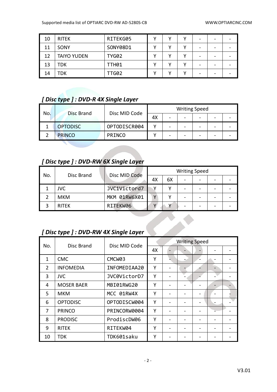| 10 | <b>RITEK</b>       | RITEKG05     | v | v | - |  |
|----|--------------------|--------------|---|---|---|--|
| 11 | SONY               | SONY08D1     |   | v | - |  |
| 12 | <b>TAIYO YUDEN</b> | <b>TYG02</b> |   |   | - |  |
| 13 | TDK                | <b>TTH01</b> |   |   | - |  |
| 14 | TDK                | TTG02        |   |   | - |  |

#### *[ Disc type ] : DVD-R 4X Single Layer*

| No. | Disc Brand      |               |    | <b>Writing Speed</b> |   |  |
|-----|-----------------|---------------|----|----------------------|---|--|
|     |                 | Disc MID Code | 4X |                      | - |  |
|     | <b>OPTODISC</b> | OPTODISCR004  |    |                      | - |  |
|     | <b>PRINCO</b>   | <b>PRINCO</b> |    |                      | - |  |

## *[ Disc type ] : DVD-RW 6X Single Layer*

| No. |              | Disc MID Code |              |    | <b>Writing Speed</b> |  |  |
|-----|--------------|---------------|--------------|----|----------------------|--|--|
|     | Disc Brand   |               | 4Х           | 6X | -                    |  |  |
|     | <b>JVC</b>   | JVC1Victord7  |              |    |                      |  |  |
|     | <b>MKM</b>   | MKM 01RW6X01  | $\mathbf{v}$ |    |                      |  |  |
|     | <b>RITEK</b> | RITEKW06      |              |    |                      |  |  |

## *[ Disc type ] : DVD-RW 4X Single Layer*

|                | [Disc type ]: DVD-RW 4X Single Layer |               |                      |  |  |  |  |  |
|----------------|--------------------------------------|---------------|----------------------|--|--|--|--|--|
| No.            | Disc Brand                           | Disc MID Code | <b>Writing Speed</b> |  |  |  |  |  |
|                |                                      |               | 4X                   |  |  |  |  |  |
| $\mathbf{1}$   | <b>CMC</b>                           | CMCW03        | Y                    |  |  |  |  |  |
| $\overline{2}$ | <b>INFOMEDIA</b>                     | INFOMEDIAA20  | Υ                    |  |  |  |  |  |
| 3              | <b>JVC</b>                           | JVC0VictorD7  | Υ                    |  |  |  |  |  |
| 4              | <b>MOSER BAER</b>                    | MBI01RWG20    | Υ                    |  |  |  |  |  |
| 5              | <b>MKM</b>                           | MCC 01RW4X    | Υ                    |  |  |  |  |  |
| 6              | <b>OPTODISC</b>                      | OPTODISCW004  | Y                    |  |  |  |  |  |
| 7              | <b>PRINCO</b>                        | PRINCORW0004  | Υ                    |  |  |  |  |  |
| 8              | <b>PRODISC</b>                       | ProdiscDW06   | Υ                    |  |  |  |  |  |
| 9              | <b>RITEK</b>                         | RITEKW04      | Υ                    |  |  |  |  |  |
| 10             | <b>TDK</b>                           | TDK601saku    | Y                    |  |  |  |  |  |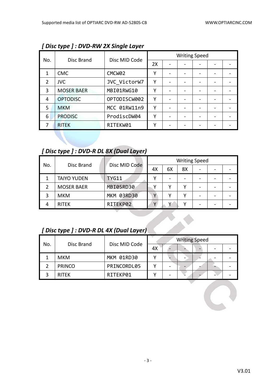|                |                   |                    |    | <b>Writing Speed</b> |  |  |
|----------------|-------------------|--------------------|----|----------------------|--|--|
| No.            | Disc Brand        | Disc MID Code      | 2X |                      |  |  |
| 1              | <b>CMC</b>        | CMCW <sub>02</sub> | Υ  |                      |  |  |
| $\overline{2}$ | <b>JVC</b>        | JVC VictorW7       | Υ  |                      |  |  |
| 3              | <b>MOSER BAER</b> | MBI01RWG10         | Υ  |                      |  |  |
| 4              | <b>OPTODISC</b>   | OPTODISCW002       | Υ  |                      |  |  |
| 5              | <b>MKM</b>        | MCC 01RW11n9       | γ  |                      |  |  |
| 6              | <b>PRODISC</b>    | ProdiscDW04        | Υ  |                      |  |  |
|                | <b>RITEK</b>      | RITEKW01           | Υ  |                      |  |  |

*[ Disc type ] : DVD-RW 2X Single Layer*

### *[ Disc type ] : DVD-R DL 8X (Dual Layer)*

| No. | Disc Brand         | Disc MID Code |    |    |    | <b>Writing Speed</b> |  |
|-----|--------------------|---------------|----|----|----|----------------------|--|
|     |                    |               | 4X | 6X | 8X | $\qquad \qquad$      |  |
|     | <b>TAIYO YUDEN</b> | <b>TYG11</b>  |    |    |    |                      |  |
|     | <b>MOSER BAER</b>  | MBI05RD30     |    |    |    | -                    |  |
|     | <b>MKM</b>         | MKM 03RD30    | ν  |    |    | -                    |  |
|     | <b>RITEK</b>       | RITEKP02      |    | v  |    | -                    |  |

## *[ Disc type ] : DVD-R DL 4X (Dual Layer)*

| No. |               | Disc MID Code |    | <b>Writing Speed</b> |  |  |
|-----|---------------|---------------|----|----------------------|--|--|
|     | Disc Brand    |               | 4X |                      |  |  |
|     | <b>MKM</b>    | MKM 01RD30    |    |                      |  |  |
|     | <b>PRINCO</b> | PRINCORDL05   |    |                      |  |  |
|     | <b>RITEK</b>  | RITEKP01      |    |                      |  |  |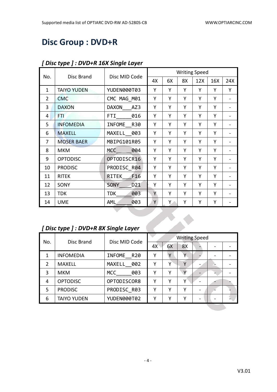## **Disc Group : DVD+R**

|                |                    |                    |    |    |    | <b>Writing Speed</b> |     |     |
|----------------|--------------------|--------------------|----|----|----|----------------------|-----|-----|
| No.            | Disc Brand         | Disc MID Code      | 4X | 6X | 8X | 12X                  | 16X | 24X |
| $\mathbf{1}$   | <b>TAIYO YUDEN</b> | YUDEN000T03        | Y  | Y  | Y  | Y                    | Y   | Y   |
| $\overline{2}$ | <b>CMC</b>         | CMC MAG M01        | Y  | Y  | Υ  | Υ                    | Y   |     |
| 3              | <b>DAXON</b>       | DAXON<br>AZ3       | Y  | Y  | Υ  | Υ                    | Y   |     |
| 4              | FTI                | FTI.<br>016        | Y  | Y  | Y  | Υ                    | Y   |     |
| 5              | <b>INFOMEDIA</b>   | INFOME R30         | Y  | Υ  | Y  | Y                    | Y   |     |
| 6              | <b>MAXELL</b>      | MAXELL 003         | Y  | Y  | Υ  | Υ                    | Y   |     |
| 7              | <b>MOSER BAER</b>  | MBIPG101R05        | Y  | Y  | Y  | Y                    | Y   |     |
| 8              | <b>MKM</b>         | 004<br>MCC         | Y  | Y  | Y  | Υ                    | Y   |     |
| 9              | <b>OPTODISC</b>    | OPTODISCR16        | Υ  | Υ  | Υ  | Υ                    | Υ   |     |
| 10             | <b>PRODISC</b>     | PRODISC R04        | Y  | Y  | Y  | Y                    | Y   |     |
| 11             | <b>RITEK</b>       | F16<br>RITEK       | Y  | Y  | Y  | Υ                    | Y   |     |
| 12             | SONY               | D21<br><b>SONY</b> | Υ  | Y  | Υ  | Υ                    | Y   |     |
| 13             | <b>TDK</b>         | <b>TDK</b><br>003  | Y  | Y  | Υ  | Υ                    | Y   |     |
| 14             | <b>UME</b>         | 003<br><b>AML</b>  | Υ  | Y. | Υ  | Υ                    | Υ   |     |

#### *[ Disc type ] : DVD+R 16X Single Layer*

## *[ Disc type ] : DVD+R 8X Single Layer*

|               | [Disc type ] : DVD+R 8X Single Layer |                             |    |    |                      |  |  |
|---------------|--------------------------------------|-----------------------------|----|----|----------------------|--|--|
| No.           | Disc Brand                           | Disc MID Code               |    |    | <b>Writing Speed</b> |  |  |
|               |                                      |                             | 4X | 6X | 8X                   |  |  |
| $\mathbf{1}$  | <b>INFOMEDIA</b>                     | <b>INFOME</b><br><b>R20</b> | Υ  | Y  | γ                    |  |  |
| $\mathcal{P}$ | <b>MAXELL</b>                        | MAXELL 002                  | Y  | Υ  | Υ                    |  |  |
| 3             | <b>MKM</b>                           | <b>MCC</b><br>003           | Y  | γ  | V                    |  |  |
| 4             | <b>OPTODISC</b>                      | OPTODISCOR8                 | Y  | Υ  | Υ                    |  |  |
| 5             | <b>PRODISC</b>                       | PRODISC R03                 | Υ  | Υ  | Υ                    |  |  |
| 6             | <b>TAIYO YUDEN</b>                   | YUDEN000T02                 | Υ  | γ  | Υ                    |  |  |
|               |                                      |                             |    |    |                      |  |  |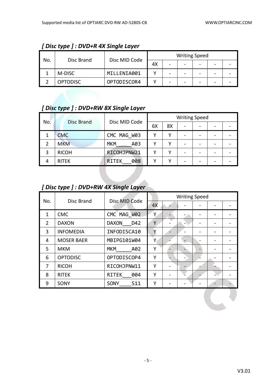| No.<br>Disc Brand |                 |               |    |   | <b>Writing Speed</b> |  |  |
|-------------------|-----------------|---------------|----|---|----------------------|--|--|
|                   |                 | Disc MID Code | 4X | - |                      |  |  |
|                   | M-DISC          | MILLENIA001   |    |   |                      |  |  |
|                   | <b>OPTODISC</b> | OPTODISCOR4   |    |   |                      |  |  |

#### *[ Disc type ] : DVD+R 4X Single Layer*

## *[ Disc type ] : DVD+RW 8X Single Layer*

| No. | Disc Brand   | Disc MID Code       | <b>Writing Speed</b> |    |   |   |  |  |
|-----|--------------|---------------------|----------------------|----|---|---|--|--|
|     |              |                     | 6X                   | 8X | - | - |  |  |
|     | <b>CMC</b>   | CMC MAG W03         |                      | v  |   |   |  |  |
|     | <b>MKM</b>   | <b>MKM</b><br>A03   |                      | v  |   |   |  |  |
| 3   | <b>RICOH</b> | RICOHJPNW21         |                      |    |   |   |  |  |
| 4   | <b>RITEK</b> | 008<br><b>RITEK</b> |                      |    |   |   |  |  |

## *[ Disc type ] : DVD+RW 4X Single Layer*

| No.            | Disc Brand        | Disc MID Code           |    | <b>Writing Speed</b> |  |  |
|----------------|-------------------|-------------------------|----|----------------------|--|--|
|                |                   |                         | 4X |                      |  |  |
| 1              | <b>CMC</b>        | CMC MAG_W02             | γ  |                      |  |  |
| $\overline{2}$ | <b>DAXON</b>      | <b>DAXON</b><br>D42     | Y  |                      |  |  |
| 3              | <b>INFOMEDIA</b>  | INFODISCA10             | Υ  |                      |  |  |
| 4              | <b>MOSER BAER</b> | MBIPG101W04             | Y  |                      |  |  |
| 5.             | <b>MKM</b>        | <b>MKM</b><br>A02       | Υ  |                      |  |  |
| 6              | <b>OPTODISC</b>   | OPTODISCOP4             | Υ  |                      |  |  |
| 7              | <b>RICOH</b>      | RICOHJPNW11             | Υ  |                      |  |  |
| 8              | <b>RITEK</b>      | <b>RITEK</b><br>004     | Υ  |                      |  |  |
| 9              | SONY              | SONY<br>S <sub>11</sub> | Υ  |                      |  |  |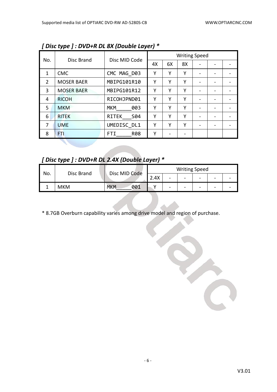|                |                   | Disc MID Code       |    |    | <b>Writing Speed</b> |                 |  |
|----------------|-------------------|---------------------|----|----|----------------------|-----------------|--|
| No.            | Disc Brand        |                     | 4X | 6X | 8X                   |                 |  |
| 1              | <b>CMC</b>        | CMC MAG D03         |    | Υ  | Υ                    |                 |  |
| $\overline{2}$ | <b>MOSER BAER</b> | MBIPG101R10         | Υ  | Υ  | Υ                    |                 |  |
| 3              | <b>MOSER BAER</b> | MBIPG101R12         | Υ  | Υ  | Υ                    |                 |  |
| 4              | <b>RICOH</b>      | RICOHJPND01         | Υ  | Υ  | Υ                    |                 |  |
| 5              | <b>MKM</b>        | <b>MKM</b><br>003   | Υ  | Υ  | γ                    | $\qquad \qquad$ |  |
| 6              | <b>RITEK</b>      | <b>RITEK</b><br>S04 | Υ  | Υ  | Υ                    |                 |  |
| 7              | <b>UME</b>        | UMEDISC DL1         | Υ  | Υ  | Υ                    |                 |  |
| 8              | FTI               | <b>R08</b><br>FTI.  | Υ  |    |                      |                 |  |

*[ Disc type ] : DVD+R DL 8X (Double Layer) \**

*[ Disc type ] : DVD+R DL 2.4X (Double Layer) \**

| No. | Disc Brand |                   | <b>Writing Speed</b> |                          |                          |                          |   |  |  |
|-----|------------|-------------------|----------------------|--------------------------|--------------------------|--------------------------|---|--|--|
|     |            | Disc MID Code     | 2.4X                 | $\sim$                   | -                        | $\overline{\phantom{0}}$ | - |  |  |
|     | <b>MKM</b> | 001<br><b>MKM</b> |                      | $\overline{\phantom{0}}$ | $\overline{\phantom{a}}$ | $\qquad \qquad$          | - |  |  |

\* 8.7GB Overburn capability varies among drive model and region of purchase.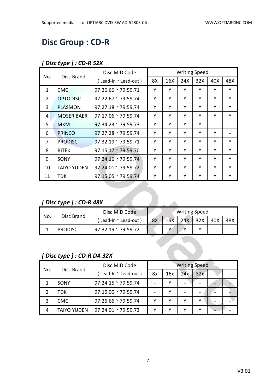## **Disc Group : CD-R**

#### *[ Disc type ] : CD-R 52X*

| No.            | Disc Brand                | Disc MID Code                   |    |     | <b>Writing Speed</b> |     |     |     |
|----------------|---------------------------|---------------------------------|----|-----|----------------------|-----|-----|-----|
|                |                           | $($ Lead-In $\sim$ Lead-out $)$ | 8X | 16X | 24X                  | 32X | 40X | 48X |
| $\mathbf{1}$   | <b>CMC</b>                | $97:26.66 \approx 79:59.71$     | Υ  | Υ   | Υ                    | Υ   | Υ   | Y   |
| $\overline{2}$ | <b>OPTODISC</b>           | $97:22.67 \approx 79:59.74$     | Y  | Υ   | Y                    | Y   | Y   | Y   |
| 3              | <b>PLASMON</b>            | $97:27.18 \approx 79:59.74$     | Υ  | Υ   | Y                    | Υ   | Υ   | Y   |
| 4              | <b>MOSER BAER</b>         | $97:17.06 \approx 79:59.74$     | Υ  | Y   | Y                    | Υ   | Υ   | Y   |
| 5.             | <b>MKM</b>                | $97:34.23 \approx 79:59.73$     | Υ  | Υ   | Υ                    | Y   | -   |     |
| 6              | <b>PRINCO</b>             | $97:27.28 \approx 79:59.74$     | Y  | Υ   | Y                    | Υ   | Y   |     |
| 7              | <b>PRODISC</b>            | $97:32.19 \approx 79:59.71$     | Υ  | Y   | Y                    | Υ   | Υ   | Y   |
| 8              | <b>RITEK</b>              | $97:15.17 \approx 79:59.70$     | Υ  | Υ   | Υ                    | Υ   | Y   | Y   |
| 9              | SONY                      | $97:24.16 \approx 79:59.74$     | Υ  | Υ   | Y                    | Y   | Υ   | Y   |
| 10             | <b>TAIYO YUDEN</b>        | $97:24.01 \approx 79:59.72$     | Υ  | Y   | Y                    | Υ   | Υ   | Y   |
| 11             | <b>TDK</b>                | $97:15.05 \approx 79:59.74$     | Υ  | Υ   | Y                    | Υ   | Y   | Y   |
|                |                           |                                 |    |     |                      |     |     |     |
|                |                           |                                 |    |     |                      |     |     |     |
|                | [Disc type ] : $CD-R$ 48X |                                 |    |     |                      |     |     |     |

### *[ Disc type ] : CD-R 48X*

| No. | Disc Brand     | Disc MID Code               | <b>Writing Speed</b> |     |     |                 |                          |     |  |
|-----|----------------|-----------------------------|----------------------|-----|-----|-----------------|--------------------------|-----|--|
|     |                | ( Lead-In ~ Lead-out )      | 8X                   | 16X | 24X | $\parallel$ 32X | 40X                      | 48X |  |
|     | <b>PRODISC</b> | $97:32.19 \approx 79:59.72$ |                      |     |     |                 | $\overline{\phantom{0}}$ |     |  |

#### *[ Disc type ] : CD-R DA 32X*

| No. | Disc Brand         | Disc MID Code               | <b>Writing Speed</b> |     |     |     |   |  |  |
|-----|--------------------|-----------------------------|----------------------|-----|-----|-----|---|--|--|
|     |                    | (Lead-In ~ Lead-out)        | 8x                   | 16x | 24x | 32x | - |  |  |
|     | SONY               | $97:24.15 \approx 79:59.74$ |                      |     |     |     |   |  |  |
|     | TDK                | $97:15.00 \approx 79:59.74$ |                      |     |     |     |   |  |  |
|     | <b>CMC</b>         | $97:26.66 \approx 79:59.74$ |                      |     |     |     |   |  |  |
|     | <b>TAIYO YUDEN</b> | $97:24.01 \approx 79:59.73$ |                      |     |     |     |   |  |  |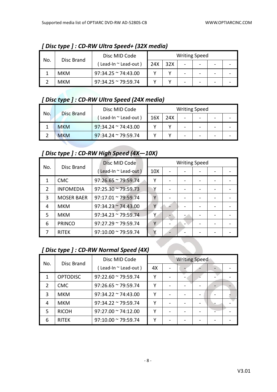| No. | Disc Brand | Disc MID Code               |     |     | <b>Writing Speed</b>     |  |  |
|-----|------------|-----------------------------|-----|-----|--------------------------|--|--|
|     |            | Lead-In ~ Lead-out)         | 24X | 32X | $\overline{\phantom{a}}$ |  |  |
|     | мкм        | $97:34.25 \approx 74:43.00$ |     |     | -                        |  |  |
|     | <b>MKM</b> | $97:34.25$ ~ 79:59.74       |     |     | -                        |  |  |

*[ Disc type ] : CD-RW Ultra Speed+ (32X media)*

### *[ Disc type ] : CD-RW Ultra Speed (24X media)*

| No. | <b>Disc Brand</b> | Disc MID Code               |     |     | <b>Writing Speed</b> |   |  |
|-----|-------------------|-----------------------------|-----|-----|----------------------|---|--|
|     |                   | Lead-In $\sim$ Lead-out )   | 16X | 24X |                      | - |  |
|     | <b>MKM</b>        | $97:34.24 \approx 74:43.00$ |     |     | -                    | - |  |
|     | <b>MKM</b>        | $97:34.24 \approx 79:59.74$ |     |     | -                    |   |  |

#### *[ Disc type ] : CD-RW High Speed (4X—10X)*

|     |                   | Disc MID Code               |                 | <b>Writing Speed</b> |  |  |
|-----|-------------------|-----------------------------|-----------------|----------------------|--|--|
| No. | Disc Brand        | (Lead-In ~ Lead-out)        | 10 <sub>X</sub> |                      |  |  |
|     | <b>CMC</b>        | $97:26.65 \approx 79:59.74$ | Υ               |                      |  |  |
| 2   | <b>INFOMEDIA</b>  | $97:25.30 \approx 79:59.73$ |                 |                      |  |  |
| 3   | <b>MOSER BAER</b> | $97:17.01 \approx 79:59.74$ | γ               |                      |  |  |
| 4   | <b>MKM</b>        | $97:34.23 \approx 74:43.00$ |                 |                      |  |  |
| 5   | <b>MKM</b>        | $97:34.23 \approx 79:59.74$ | ٧               |                      |  |  |
| 6   | <b>PRINCO</b>     | $97:27.29 \approx 79:59.74$ | v               |                      |  |  |
|     | <b>RITEK</b>      | $97:10.00 \approx 79:59.74$ |                 |                      |  |  |

## *[ Disc type ] : CD-RW Normal Speed (4X)*

| No. | Disc Brand      | Disc MID Code               | <b>Writing Speed</b> |  |  |  |  |
|-----|-----------------|-----------------------------|----------------------|--|--|--|--|
|     |                 | (Lead-In ~ Lead-out)        | 4X                   |  |  |  |  |
| 1   | <b>OPTODISC</b> | $97:22.60 \approx 79:59.74$ | γ                    |  |  |  |  |
| 2   | <b>CMC</b>      | $97:26.65 \approx 79:59.74$ | γ                    |  |  |  |  |
| 3   | <b>MKM</b>      | $97:34.22 \approx 74:43.00$ | γ                    |  |  |  |  |
| 4   | <b>MKM</b>      | $97:34.22 \approx 79:59.74$ | ٧                    |  |  |  |  |
| 5   | <b>RICOH</b>    | $97:27.00 \approx 74:12.00$ | v                    |  |  |  |  |
| 6   | <b>RITEK</b>    | $97:10.00 \approx 79:59.74$ |                      |  |  |  |  |